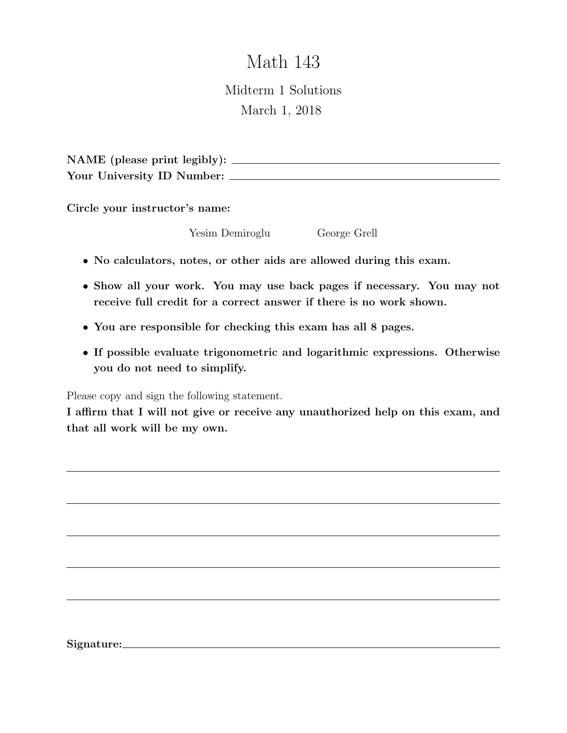# Math 143

Midterm 1 Solutions March 1, 2018

NAME (please print legibly): Your University ID Number:

Circle your instructor's name:

Yesim Demiroglu George Grell

- No calculators, notes, or other aids are allowed during this exam.
- Show all your work. You may use back pages if necessary. You may not receive full credit for a correct answer if there is no work shown.
- You are responsible for checking this exam has all 8 pages.
- If possible evaluate trigonometric and logarithmic expressions. Otherwise you do not need to simplify.

Please copy and sign the following statement.

I affirm that I will not give or receive any unauthorized help on this exam, and that all work will be my own.

Signature: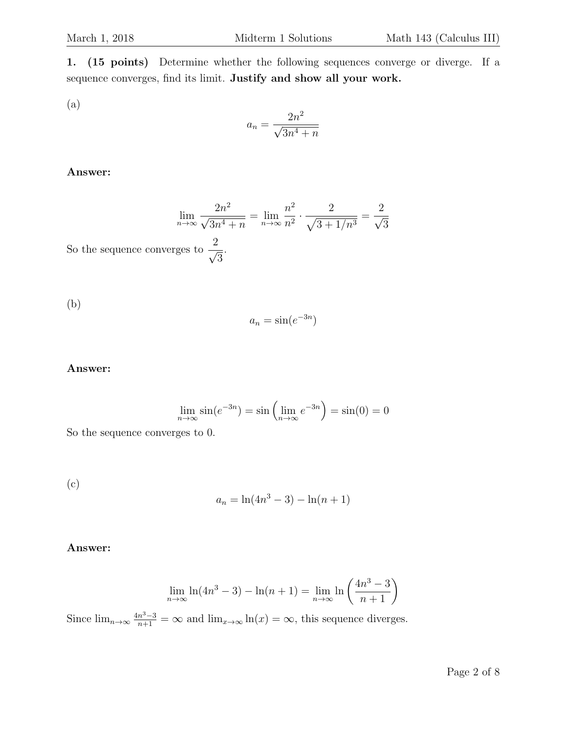1. (15 points) Determine whether the following sequences converge or diverge. If a sequence converges, find its limit. Justify and show all your work.

(a)

$$
a_n = \frac{2n^2}{\sqrt{3n^4 + n}}
$$

## Answer:

$$
\lim_{n \to \infty} \frac{2n^2}{\sqrt{3n^4 + n}} = \lim_{n \to \infty} \frac{n^2}{n^2} \cdot \frac{2}{\sqrt{3 + 1/n^3}} = \frac{2}{\sqrt{3}}
$$

So the sequence converges to  $\frac{2}{\sqrt{2}}$ 3 .

(b)

$$
a_n = \sin(e^{-3n})
$$

## Answer:

$$
\lim_{n \to \infty} \sin(e^{-3n}) = \sin\left(\lim_{n \to \infty} e^{-3n}\right) = \sin(0) = 0
$$

So the sequence converges to 0.

(c)

$$
a_n = \ln(4n^3 - 3) - \ln(n + 1)
$$

## Answer:

$$
\lim_{n \to \infty} \ln(4n^3 - 3) - \ln(n+1) = \lim_{n \to \infty} \ln\left(\frac{4n^3 - 3}{n+1}\right)
$$

Since  $\lim_{n\to\infty} \frac{4n^3-3}{n+1} = \infty$  and  $\lim_{x\to\infty} \ln(x) = \infty$ , this sequence diverges.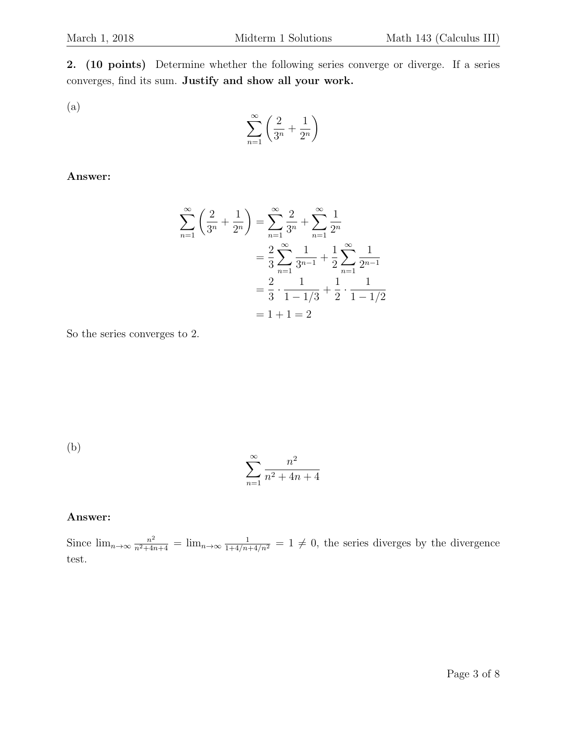2. (10 points) Determine whether the following series converge or diverge. If a series converges, find its sum. Justify and show all your work.

(a)

$$
\sum_{n=1}^{\infty} \left( \frac{2}{3^n} + \frac{1}{2^n} \right)
$$

Answer:

$$
\sum_{n=1}^{\infty} \left( \frac{2}{3^n} + \frac{1}{2^n} \right) = \sum_{n=1}^{\infty} \frac{2}{3^n} + \sum_{n=1}^{\infty} \frac{1}{2^n}
$$

$$
= \frac{2}{3} \sum_{n=1}^{\infty} \frac{1}{3^{n-1}} + \frac{1}{2} \sum_{n=1}^{\infty} \frac{1}{2^{n-1}}
$$

$$
= \frac{2}{3} \cdot \frac{1}{1 - 1/3} + \frac{1}{2} \cdot \frac{1}{1 - 1/2}
$$

$$
= 1 + 1 = 2
$$

So the series converges to 2.

(b)

$$
\sum_{n=1}^{\infty} \frac{n^2}{n^2 + 4n + 4}
$$

# Answer:

Since  $\lim_{n\to\infty} \frac{n^2}{n^2+4n+4} = \lim_{n\to\infty} \frac{1}{1+4/n+4/n^2} = 1 \neq 0$ , the series diverges by the divergence test.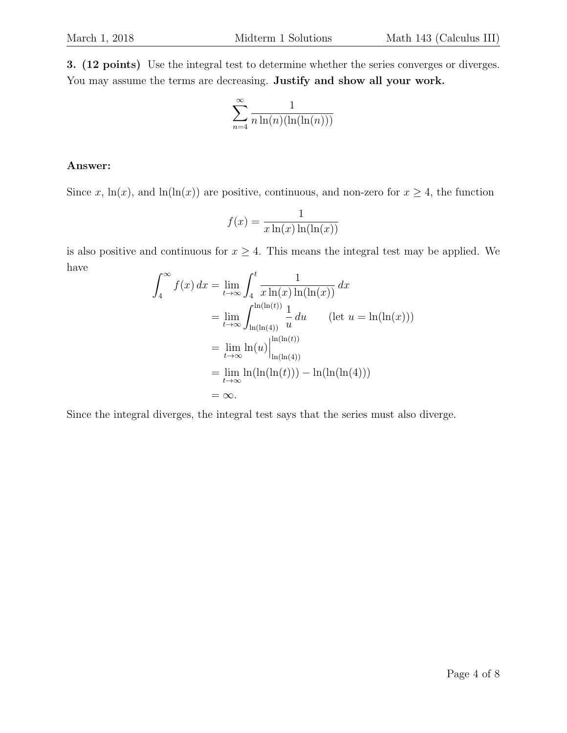3. (12 points) Use the integral test to determine whether the series converges or diverges. You may assume the terms are decreasing. Justify and show all your work.

$$
\sum_{n=4}^{\infty} \frac{1}{n \ln(n) (\ln(\ln(n)))}
$$

# Answer:

Since x, ln(x), and ln(ln(x)) are positive, continuous, and non-zero for  $x \ge 4$ , the function

$$
f(x) = \frac{1}{x \ln(x) \ln(\ln(x))}
$$

is also positive and continuous for  $x \geq 4$ . This means the integral test may be applied. We have

$$
\int_{4}^{\infty} f(x) dx = \lim_{t \to \infty} \int_{4}^{t} \frac{1}{x \ln(x) \ln(\ln(x))} dx
$$
  
\n
$$
= \lim_{t \to \infty} \int_{\ln(\ln(4))}^{\ln(\ln(t))} \frac{1}{u} du \qquad (\text{let } u = \ln(\ln(x)))
$$
  
\n
$$
= \lim_{t \to \infty} \ln(u) \Big|_{\ln(\ln(4))}^{\ln(\ln(t))}
$$
  
\n
$$
= \lim_{t \to \infty} \ln(\ln(\ln(t))) - \ln(\ln(\ln(4)))
$$
  
\n
$$
= \infty.
$$

Since the integral diverges, the integral test says that the series must also diverge.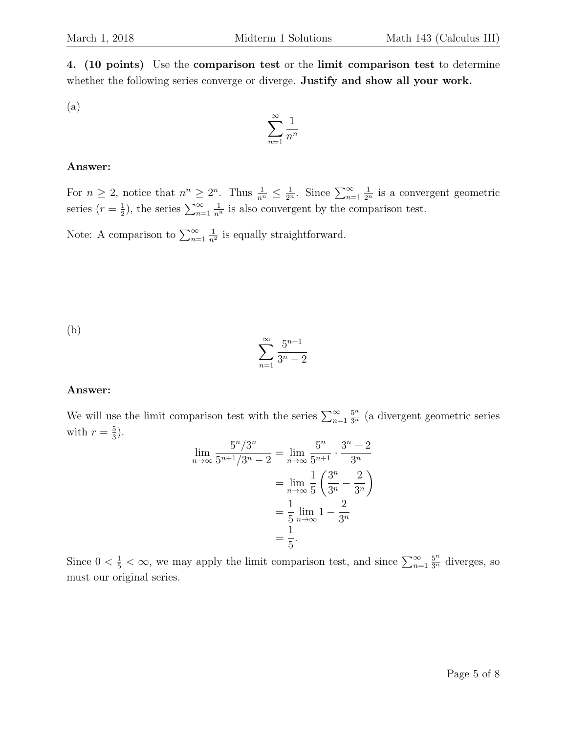4. (10 points) Use the comparison test or the limit comparison test to determine whether the following series converge or diverge. Justify and show all your work.

(a)

$$
\sum_{n=1}^{\infty} \frac{1}{n^n}
$$

# Answer:

For  $n \geq 2$ , notice that  $n^n \geq 2^n$ . Thus  $\frac{1}{n^n} \leq \frac{1}{2^n}$ . Since  $\sum_{n=1}^{\infty}$  $\frac{1}{2^n}$  is a convergent geometric series  $(r=\frac{1}{2})$  $(\frac{1}{2})$ , the series  $\sum_{n=1}^{\infty}$  $\frac{1}{n^n}$  is also convergent by the comparison test.

Note: A comparison to  $\sum_{n=1}^{\infty}$ 1  $\frac{1}{n^2}$  is equally straightforward.

(b)

$$
\sum_{n=1}^{\infty} \frac{5^{n+1}}{3^n - 2}
$$

# Answer:

We will use the limit comparison test with the series  $\sum_{n=1}^{\infty}$  $\frac{5^n}{3^n}$  (a divergent geometric series with  $r=\frac{5}{3}$  $\frac{5}{3}$ .

$$
\lim_{n \to \infty} \frac{5^n / 3^n}{5^{n+1} / 3^n - 2} = \lim_{n \to \infty} \frac{5^n}{5^{n+1}} \cdot \frac{3^n - 2}{3^n}
$$

$$
= \lim_{n \to \infty} \frac{1}{5} \left( \frac{3^n}{3^n} - \frac{2}{3^n} \right)
$$

$$
= \frac{1}{5} \lim_{n \to \infty} 1 - \frac{2}{3^n}
$$

$$
= \frac{1}{5}.
$$

Since  $0 < \frac{1}{5} < \infty$ , we may apply the limit comparison test, and since  $\sum_{n=1}^{\infty}$  $\frac{5^n}{3^n}$  diverges, so must our original series.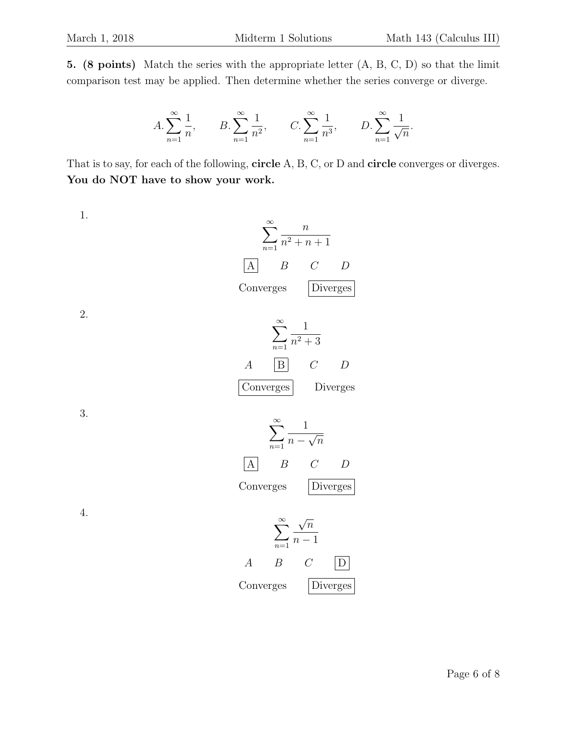5. (8 points) Match the series with the appropriate letter (A, B, C, D) so that the limit comparison test may be applied. Then determine whether the series converge or diverge.

$$
A. \sum_{n=1}^{\infty} \frac{1}{n}, \qquad B. \sum_{n=1}^{\infty} \frac{1}{n^2}, \qquad C. \sum_{n=1}^{\infty} \frac{1}{n^3}, \qquad D. \sum_{n=1}^{\infty} \frac{1}{\sqrt{n}}.
$$

That is to say, for each of the following, **circle** A, B, C, or D and **circle** converges or diverges. You do NOT have to show your work.

1.

1. 
$$
\sum_{n=1}^{\infty} \frac{n}{n^2 + n + 1}
$$
  
\nA B C D  
\nConverges  
\n2. 
$$
\sum_{n=1}^{\infty} \frac{1}{n^2 + 3}
$$
  
\nA  $\boxed{B}$  C D  
\nConverges  
\n3. 
$$
\sum_{n=1}^{\infty} \frac{1}{n - \sqrt{n}}
$$
  
\nA B C D  
\nConverges  
\n1. 
$$
\sum_{n=1}^{\infty} \frac{\sqrt{n}}{n - 1}
$$
  
\nA B C D  
\nConverges  
\nDiverges  
\nDiverges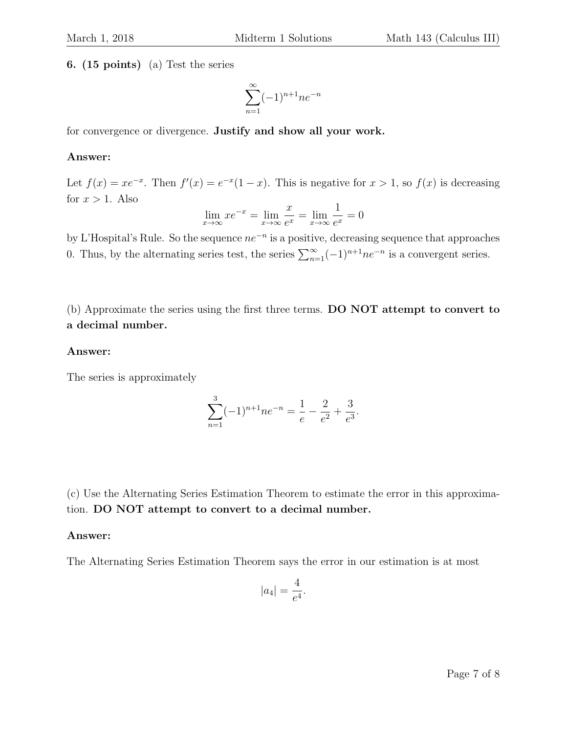6. (15 points) (a) Test the series

$$
\sum_{n=1}^{\infty} (-1)^{n+1} n e^{-n}
$$

for convergence or divergence. Justify and show all your work.

#### Answer:

Let  $f(x) = xe^{-x}$ . Then  $f'(x) = e^{-x}(1-x)$ . This is negative for  $x > 1$ , so  $f(x)$  is decreasing for  $x > 1$ . Also

$$
\lim_{x \to \infty} x e^{-x} = \lim_{x \to \infty} \frac{x}{e^x} = \lim_{x \to \infty} \frac{1}{e^x} = 0
$$

by L'Hospital's Rule. So the sequence  $ne^{-n}$  is a positive, decreasing sequence that approaches 0. Thus, by the alternating series test, the series  $\sum_{n=1}^{\infty}(-1)^{n+1}ne^{-n}$  is a convergent series.

(b) Approximate the series using the first three terms. DO NOT attempt to convert to a decimal number.

## Answer:

The series is approximately

$$
\sum_{n=1}^{3} (-1)^{n+1} n e^{-n} = \frac{1}{e} - \frac{2}{e^2} + \frac{3}{e^3}.
$$

(c) Use the Alternating Series Estimation Theorem to estimate the error in this approximation. DO NOT attempt to convert to a decimal number.

#### Answer:

The Alternating Series Estimation Theorem says the error in our estimation is at most

$$
|a_4|=\frac{4}{e^4}.
$$